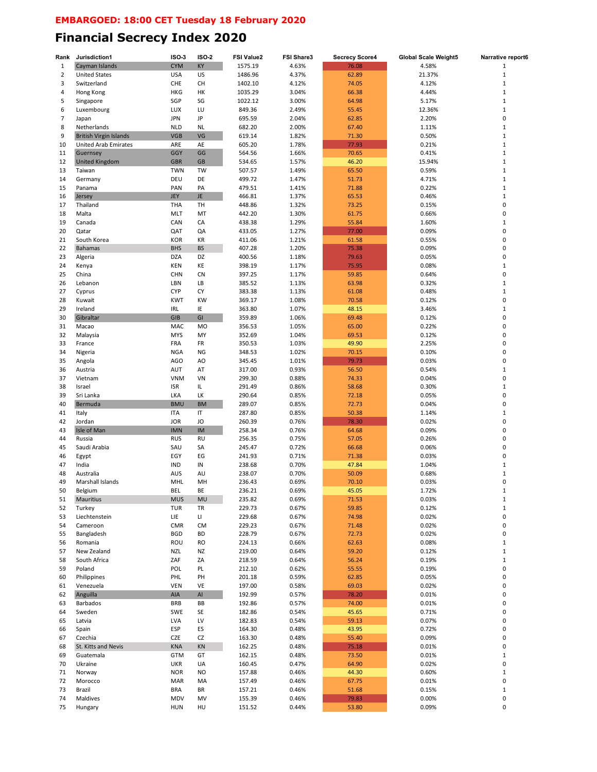## **Financial Secrecy Index 2020**

| Rank           | Jurisdiction1                    | ISO 3                    | <b>ISO-2</b> | <b>FSI Value2</b> | FSI Share3     | <b>Secrecy Score4</b> | <b>Global Scale Weight5</b> | Narrative report6          |
|----------------|----------------------------------|--------------------------|--------------|-------------------|----------------|-----------------------|-----------------------------|----------------------------|
| $\mathbf{1}$   | Cayman Islands                   | <b>CYM</b>               | KY           | 1575.19           | 4.63%          | 76.08                 | 4.58%                       | 1                          |
| $\overline{2}$ | <b>United States</b>             | <b>USA</b>               | US           | 1486.96           | 4.37%          | 62.89                 | 21.37%                      | $\mathbf 1$                |
| 3              | Switzerland                      | CHE                      | CH           | 1402.10           | 4.12%          | 74.05                 | 4.12%                       | $\mathbf 1$                |
| 4              | Hong Kong                        | <b>HKG</b>               | HK           | 1035.29           | 3.04%          | 66.38                 | 4.44%                       | $\mathbf 1$                |
| 5              | Singapore                        | SGP                      | SG           | 1022.12           | 3.00%          | 64.98                 | 5.17%                       | $\mathbf 1$                |
| 6              | Luxembourg                       | LUX                      | LU           | 849.36            | 2.49%          | 55.45                 | 12.36%                      | $\mathbf 1$                |
| $\overline{7}$ | Japan                            | <b>JPN</b>               | JP           | 695.59            | 2.04%          | 62.85                 | 2.20%                       | 0                          |
| 8              | Netherlands                      | <b>NLD</b>               | <b>NL</b>    | 682.20            | 2.00%          | 67.40                 | 1.11%                       | $\mathbf 1$                |
| 9              | <b>British Virgin Islands</b>    | <b>VGB</b>               | VG           | 619.14            | 1.82%          | 71.30                 | 0.50%                       | $\mathbf 1$                |
| 10             | <b>United Arab Emirates</b>      | ARE                      | AE           | 605.20            | 1.78%          | 77.93                 | 0.21%                       | $\mathbf{1}$               |
| 11             | Guernsey                         | <b>GGY</b>               | GG           | 564.56            | 1.66%          | 70.65                 | 0.41%                       | $\mathbf 1$                |
| 12             | <b>United Kingdom</b>            | <b>GBR</b>               | <b>GB</b>    | 534.65            | 1.57%          | 46.20                 | 15.94%                      | $\mathbf 1$                |
| 13             | Taiwan                           | <b>TWN</b>               | TW           | 507.57            | 1.49%          | 65.50                 | 0.59%                       | 1                          |
| 14             | Germany                          | DEU                      | DE           | 499.72            | 1.47%          | 51.73                 | 4.71%                       | 1                          |
| 15             | Panama                           | PAN                      | PA           | 479.51            | 1.41%          | 71.88                 | 0.22%                       | $\mathbf 1$                |
| 16             | Jersey                           | <b>JEY</b>               | JE.          | 466.81            | 1.37%          | 65.53                 | 0.46%                       | $\mathbf 1$                |
| 17             | Thailand                         | THA                      | TH           | 448.86            | 1.32%          | 73.25                 | 0.15%                       | 0                          |
| 18             | Malta                            | <b>MLT</b>               | MT           | 442.20            | 1.30%          | 61.75                 | 0.66%                       | 0                          |
| 19             | Canada                           | CAN                      | CA           | 438.38            | 1.29%          | 55.84                 | 1.60%                       | $\mathbf 1$                |
| 20             | Qatar                            | QAT                      | QA           | 433.05            | 1.27%          | 77.00                 | 0.09%                       | 0                          |
| 21             | South Korea                      | <b>KOR</b>               | KR           | 411.06            | 1.21%          | 61.58                 | 0.55%                       | 0                          |
| 22             | Bahamas                          | <b>BHS</b>               | <b>BS</b>    | 407.28            | 1.20%          | 75.38                 | 0.09%                       | 0                          |
| 23             | Algeria                          | <b>DZA</b>               | DZ           | 400.56            | 1.18%          | 79.63                 | 0.05%                       | 0                          |
| 24             | Kenya                            | KEN                      | KE           | 398.19            | 1.17%          | 75.95                 | 0.08%                       | $\mathbf 1$                |
| 25             | China                            | CHN                      | <b>CN</b>    | 397.25            | 1.17%          | 59.85                 | 0.64%                       | 0                          |
| 26             | Lebanon                          | LBN                      | LB           | 385.52            | 1.13%          | 63.98                 | 0.32%                       | $\mathbf 1$                |
| 27             | Cyprus                           | <b>CYP</b>               | СY           | 383.38            | 1.13%          | 61.08                 | 0.48%                       | $\mathbf{1}$               |
| 28             | Kuwait                           | <b>KWT</b>               | KW           | 369.17            | 1.08%          | 70.58                 | 0.12%                       | 0                          |
| 29             | Ireland                          | IRL                      | IE           | 363.80            | 1.07%          | 48.15                 | 3.46%                       | 1                          |
| 30             | Gibraltar                        | <b>GIB</b>               | GI           | 359.89            | 1.06%          | 69.48                 | 0.12%                       | 0                          |
| 31             | Macao                            | MAC                      | <b>MO</b>    | 356.53            | 1.05%          | 65.00                 | 0.22%                       | 0                          |
| 32             | Malaysia                         | <b>MYS</b>               | MY           | 352.69            | 1.04%          | 69.53                 | 0.12%                       | 0                          |
| 33             | France                           | FRA                      | FR           | 350.53            | 1.03%          | 49.90                 | 2.25%                       | 0                          |
| 34             | Nigeria                          | <b>NGA</b>               | NG           | 348.53            | 1.02%          | 70.15                 | 0.10%                       | 0                          |
| 35             | Angola                           | <b>AGO</b>               | AO           | 345.45            | 1.01%          | 79.73                 | 0.03%                       | 0                          |
| 36             | Austria                          | <b>AUT</b>               | AT           | 317.00            | 0.93%          | 56.50                 | 0.54%                       | $\mathbf 1$                |
| 37             | Vietnam                          | <b>VNM</b>               | VN           | 299.30            | 0.88%          | 74.33                 | 0.04%                       | 0                          |
| 38             | Israel                           | <b>ISR</b>               | IL           | 291.49            | 0.86%          | 58.68                 | 0.30%                       | $\mathbf 1$                |
| 39             | Sri Lanka                        | LKA                      | LK           | 290.64            | 0.85%          | 72.18                 | 0.05%                       | 0                          |
| 40             | Bermuda                          | <b>BMU</b>               | <b>BM</b>    | 289.07            | 0.85%          | 72.73                 | 0.04%                       | 0                          |
| 41             | Italy                            | <b>ITA</b>               | $\sf IT$     | 287.80            | 0.85%          | 50.38                 | 1.14%                       | 1                          |
| 42             | Jordan                           | <b>JOR</b>               | JO           | 260.39            | 0.76%          | 78.30                 | 0.02%                       | 0                          |
| 43             | Isle of Man                      | <b>IMN</b>               | IM           | 258.34            | 0.76%          | 64.68                 | 0.09%                       | 0                          |
| 44             | Russia                           | <b>RUS</b>               | <b>RU</b>    | 256.35            | 0.75%          | 57.05                 | 0.26%                       | 0                          |
| 45             | Saudi Arabia                     | SAU                      | SA           | 245.47            | 0.72%          | 66.68                 | 0.06%                       | 0                          |
| 46             | Egypt                            | EGY                      | EG           | 241.93            | 0.71%          | 71.38                 | 0.03%                       | 0                          |
| 47             | India                            | IND                      | IN           | 238.68            | 0.70%          | 47.84                 | 1.04%                       | $\mathbf{1}$               |
| 48             | Australia                        | <b>AUS</b>               | AU           | 238.07            | 0.70%          | 50.09                 | 0.68%                       | $\mathbf 1$                |
| 49             | Marshall Islands                 | MHL                      | MH           | 236.43            | 0.69%          | 70.10                 | 0.03%                       | 0                          |
| 50             | Belgium                          | <b>BEL</b>               | BE           | 236.21            | 0.69%          | 45.05                 | 1.72%                       |                            |
| 51             | Mauritius                        | <b>MUS</b>               | MU           | 235.82            | 0.69%          | 71.53                 | 0.03%                       | 1                          |
| 52             | Turkey                           | TUR                      | TR           | 229.73            | 0.67%          | 59.85                 | 0.12%                       | $\mathbf 1$                |
| 53             | Liechtenstein                    | LIE                      | П            | 229.68            | 0.67%          | 74.98                 | 0.02%                       | 0                          |
| 54             | Cameroon                         | <b>CMR</b>               | <b>CM</b>    | 229.23            | 0.67%          | 71.48                 | 0.02%                       | 0                          |
| 55             | Bangladesh                       | <b>BGD</b>               | BD           | 228.79            | 0.67%          | 72.73                 | 0.02%                       | 0                          |
| 56             | Romania                          | ROU                      | <b>RO</b>    | 224.13            | 0.66%          | 62.63                 | 0.08%                       | $\mathbf 1$<br>$\mathbf 1$ |
| 57             | New Zealand                      | NZL                      | NZ           | 219.00            | 0.64%          | 59.20                 | 0.12%                       |                            |
| 58             | South Africa                     | ZAF                      | ZA           | 218.59            | 0.64%          | 56.24                 | 0.19%                       | $\mathbf 1$                |
| 59             | Poland                           | POL<br>PHL               | PL<br>PH     | 212.10<br>201.18  | 0.62%<br>0.59% | 55.55                 | 0.19%<br>0.05%              | 0<br>0                     |
| 60             | Philippines                      |                          |              |                   |                | 62.85                 |                             |                            |
| 61             | Venezuela                        | VEN                      | VE           | 197.00            | 0.58%          | 69.03                 | 0.02%                       | 0                          |
| 62<br>63       | Anguilla<br>Barbados             | AIA<br><b>BRB</b>        | AI<br>BB     | 192.99<br>192.86  | 0.57%<br>0.57% | 78.20<br>74.00        | 0.01%<br>0.01%              | 0<br>0                     |
|                |                                  |                          |              |                   |                |                       |                             | 0                          |
| 64             | Sweden                           | SWE<br>LVA               | SE<br>LV     | 182.86<br>182.83  | 0.54%<br>0.54% | 45.65<br>59.13        | 0.71%<br>0.07%              | 0                          |
| 65<br>66       | Latvia<br>Spain                  | ESP                      | ES           | 164.30            | 0.48%          | 43.95                 | 0.72%                       | 0                          |
| 67             | Czechia                          | <b>CZE</b>               | CZ           | 163.30            | 0.48%          | 55.40                 | 0.09%                       | 0                          |
|                |                                  |                          |              |                   |                |                       | 0.01%                       | 0                          |
| 68<br>69       | St. Kitts and Nevis<br>Guatemala | <b>KNA</b><br><b>GTM</b> | KN<br>GT     | 162.25<br>162.15  | 0.48%<br>0.48% | 75.18<br>73.50        | 0.01%                       | $\mathbf 1$                |
| 70             | Ukraine                          | UKR                      | UA           | 160.45            | 0.47%          | 64.90                 | 0.02%                       | 0                          |
| 71             | Norway                           | <b>NOR</b>               | NO           | 157.88            | 0.46%          | 44.30                 | 0.60%                       | $\mathbf 1$                |
| 72             | Morocco                          | MAR                      | MA           | 157.49            | 0.46%          | 67.75                 | 0.01%                       | 0                          |
| 73             | Brazil                           | <b>BRA</b>               | BR           | 157.21            | 0.46%          | 51.68                 | 0.15%                       | $\mathbf 1$                |
| 74             | Maldives                         | <b>MDV</b>               | MV           | 155.39            | 0.46%          | 79.83                 | 0.00%                       | 0                          |
| 75             | Hungary                          | <b>HUN</b>               | HU           | 151.52            | 0.44%          | 53.80                 | 0.09%                       | 0                          |
|                |                                  |                          |              |                   |                |                       |                             |                            |